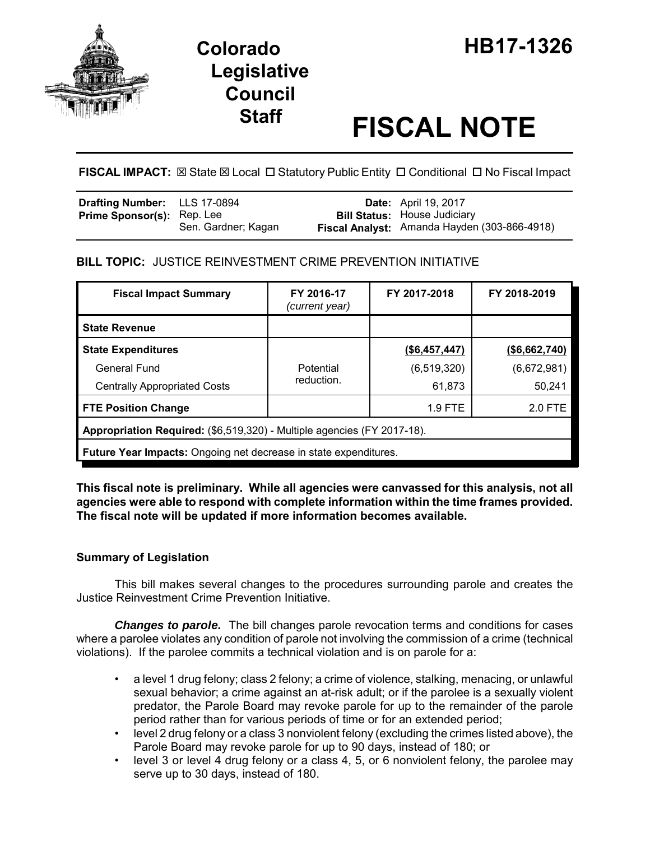

# **Legislative Council**

# **Staff FISCAL NOTE**

FISCAL IMPACT:  $\boxtimes$  State  $\boxtimes$  Local  $\Box$  Statutory Public Entity  $\Box$  Conditional  $\Box$  No Fiscal Impact

| <b>Drafting Number:</b> LLS 17-0894 |                     | <b>Date:</b> April 19, 2017                                                         |
|-------------------------------------|---------------------|-------------------------------------------------------------------------------------|
| <b>Prime Sponsor(s):</b> Rep. Lee   | Sen. Gardner; Kagan | <b>Bill Status:</b> House Judiciary<br>Fiscal Analyst: Amanda Hayden (303-866-4918) |

## **BILL TOPIC:** JUSTICE REINVESTMENT CRIME PREVENTION INITIATIVE

| <b>Fiscal Impact Summary</b>                                            | FY 2016-17<br>(current year) | FY 2017-2018  | FY 2018-2019  |  |  |  |
|-------------------------------------------------------------------------|------------------------------|---------------|---------------|--|--|--|
| <b>State Revenue</b>                                                    |                              |               |               |  |  |  |
| <b>State Expenditures</b>                                               |                              | (\$6,457,447) | (\$6,662,740) |  |  |  |
| <b>General Fund</b>                                                     | Potential                    | (6, 519, 320) | (6,672,981)   |  |  |  |
| <b>Centrally Appropriated Costs</b>                                     | reduction.                   | 61,873        | 50,241        |  |  |  |
| <b>FTE Position Change</b>                                              |                              | 1.9 FTE       | 2.0 FTE       |  |  |  |
| Appropriation Required: (\$6,519,320) - Multiple agencies (FY 2017-18). |                              |               |               |  |  |  |
| <b>Future Year Impacts:</b> Ongoing net decrease in state expenditures. |                              |               |               |  |  |  |

**This fiscal note is preliminary. While all agencies were canvassed for this analysis, not all agencies were able to respond with complete information within the time frames provided. The fiscal note will be updated if more information becomes available.**

### **Summary of Legislation**

This bill makes several changes to the procedures surrounding parole and creates the Justice Reinvestment Crime Prevention Initiative.

*Changes to parole.* The bill changes parole revocation terms and conditions for cases where a parolee violates any condition of parole not involving the commission of a crime (technical violations). If the parolee commits a technical violation and is on parole for a:

- a level 1 drug felony; class 2 felony; a crime of violence, stalking, menacing, or unlawful sexual behavior; a crime against an at-risk adult; or if the parolee is a sexually violent predator, the Parole Board may revoke parole for up to the remainder of the parole period rather than for various periods of time or for an extended period;
- level 2 drug felony or a class 3 nonviolent felony (excluding the crimes listed above), the Parole Board may revoke parole for up to 90 days, instead of 180; or
- level 3 or level 4 drug felony or a class 4, 5, or 6 nonviolent felony, the parolee may serve up to 30 days, instead of 180.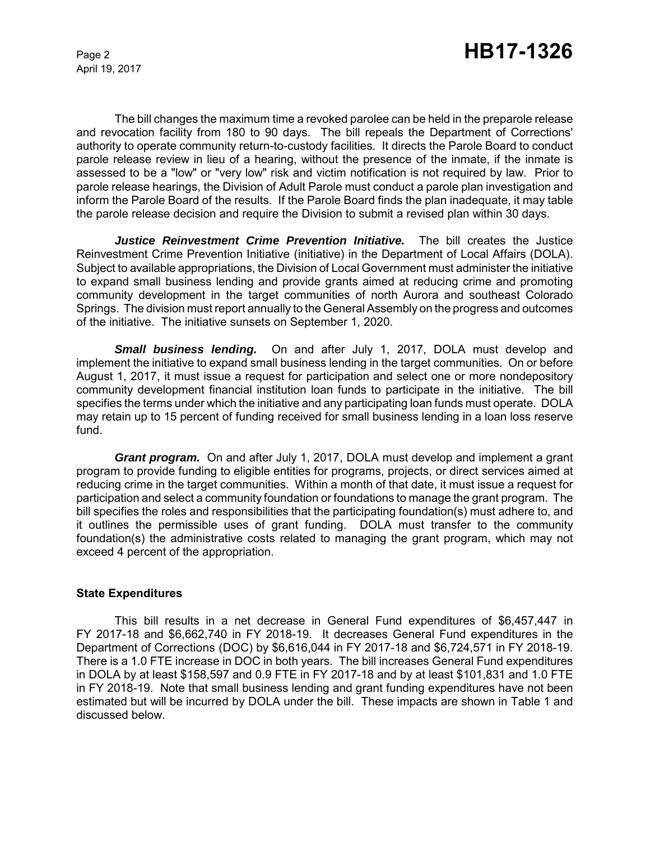The bill changes the maximum time a revoked parolee can be held in the preparole release and revocation facility from 180 to 90 days. The bill repeals the Department of Corrections' authority to operate community return-to-custody facilities. It directs the Parole Board to conduct parole release review in lieu of a hearing, without the presence of the inmate, if the inmate is assessed to be a "low" or "very low" risk and victim notification is not required by law. Prior to parole release hearings, the Division of Adult Parole must conduct a parole plan investigation and inform the Parole Board of the results. If the Parole Board finds the plan inadequate, it may table the parole release decision and require the Division to submit a revised plan within 30 days.

*Justice Reinvestment Crime Prevention Initiative.* The bill creates the Justice Reinvestment Crime Prevention Initiative (initiative) in the Department of Local Affairs (DOLA). Subject to available appropriations, the Division of Local Government must administer the initiative to expand small business lending and provide grants aimed at reducing crime and promoting community development in the target communities of north Aurora and southeast Colorado Springs. The division must report annually to the General Assembly on the progress and outcomes of the initiative. The initiative sunsets on September 1, 2020.

*Small business lending.* On and after July 1, 2017, DOLA must develop and implement the initiative to expand small business lending in the target communities. On or before August 1, 2017, it must issue a request for participation and select one or more nondepository community development financial institution loan funds to participate in the initiative. The bill specifies the terms under which the initiative and any participating loan funds must operate. DOLA may retain up to 15 percent of funding received for small business lending in a loan loss reserve fund.

*Grant program.* On and after July 1, 2017, DOLA must develop and implement a grant program to provide funding to eligible entities for programs, projects, or direct services aimed at reducing crime in the target communities. Within a month of that date, it must issue a request for participation and select a community foundation or foundations to manage the grant program. The bill specifies the roles and responsibilities that the participating foundation(s) must adhere to, and it outlines the permissible uses of grant funding. DOLA must transfer to the community foundation(s) the administrative costs related to managing the grant program, which may not exceed 4 percent of the appropriation.

#### **State Expenditures**

This bill results in a net decrease in General Fund expenditures of \$6,457,447 in FY 2017-18 and \$6,662,740 in FY 2018-19. It decreases General Fund expenditures in the Department of Corrections (DOC) by \$6,616,044 in FY 2017-18 and \$6,724,571 in FY 2018-19. There is a 1.0 FTE increase in DOC in both years. The bill increases General Fund expenditures in DOLA by at least \$158,597 and 0.9 FTE in FY 2017-18 and by at least \$101,831 and 1.0 FTE in FY 2018-19. Note that small business lending and grant funding expenditures have not been estimated but will be incurred by DOLA under the bill. These impacts are shown in Table 1 and discussed below.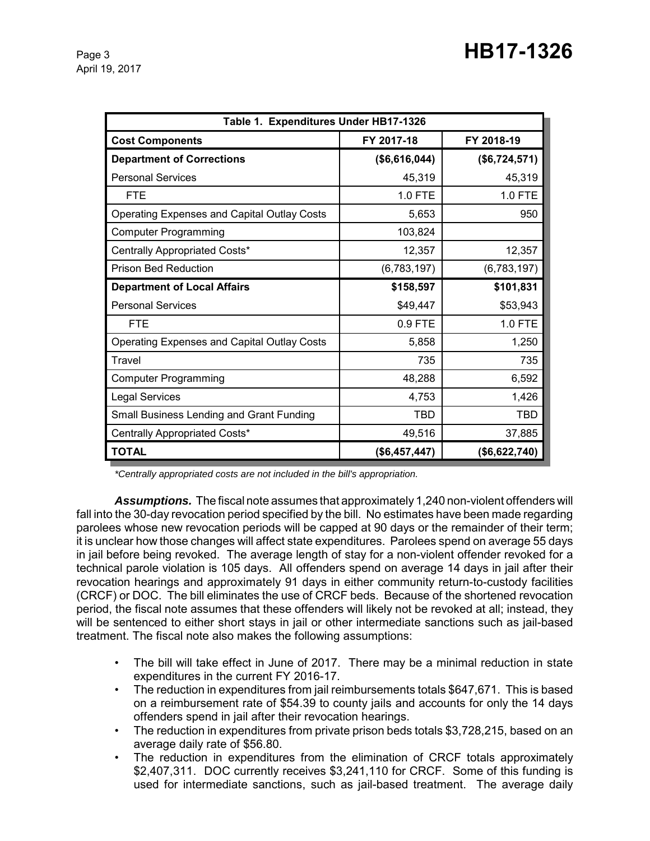| Table 1. Expenditures Under HB17-1326              |               |               |  |  |  |
|----------------------------------------------------|---------------|---------------|--|--|--|
| <b>Cost Components</b>                             | FY 2017-18    | FY 2018-19    |  |  |  |
| <b>Department of Corrections</b>                   | (\$6,616,044) | (\$6,724,571) |  |  |  |
| <b>Personal Services</b>                           | 45,319        | 45,319        |  |  |  |
| <b>FTE</b>                                         | 1.0 FTE       | 1.0 FTE       |  |  |  |
| <b>Operating Expenses and Capital Outlay Costs</b> | 5,653         | 950           |  |  |  |
| <b>Computer Programming</b>                        | 103,824       |               |  |  |  |
| Centrally Appropriated Costs*                      | 12,357        | 12,357        |  |  |  |
| <b>Prison Bed Reduction</b>                        | (6,783,197)   | (6,783,197)   |  |  |  |
| <b>Department of Local Affairs</b>                 | \$158,597     | \$101,831     |  |  |  |
| <b>Personal Services</b>                           | \$49,447      | \$53,943      |  |  |  |
| <b>FTE</b>                                         | 0.9 FTE       | 1.0 FTE       |  |  |  |
| <b>Operating Expenses and Capital Outlay Costs</b> | 5,858         | 1,250         |  |  |  |
| Travel                                             | 735           | 735           |  |  |  |
| Computer Programming                               | 48,288        | 6,592         |  |  |  |
| <b>Legal Services</b>                              | 4,753         | 1,426         |  |  |  |
| Small Business Lending and Grant Funding           | <b>TBD</b>    | TBD           |  |  |  |
| Centrally Appropriated Costs*                      | 49,516        | 37,885        |  |  |  |
| <b>TOTAL</b>                                       | (\$6,457,447) | (\$6,622,740) |  |  |  |

*\*Centrally appropriated costs are not included in the bill's appropriation.*

*Assumptions.* The fiscal note assumes that approximately 1,240 non-violent offenders will fall into the 30-day revocation period specified by the bill. No estimates have been made regarding parolees whose new revocation periods will be capped at 90 days or the remainder of their term; it is unclear how those changes will affect state expenditures. Parolees spend on average 55 days in jail before being revoked. The average length of stay for a non-violent offender revoked for a technical parole violation is 105 days. All offenders spend on average 14 days in jail after their revocation hearings and approximately 91 days in either community return-to-custody facilities (CRCF) or DOC. The bill eliminates the use of CRCF beds. Because of the shortened revocation period, the fiscal note assumes that these offenders will likely not be revoked at all; instead, they will be sentenced to either short stays in jail or other intermediate sanctions such as jail-based treatment. The fiscal note also makes the following assumptions:

- The bill will take effect in June of 2017. There may be a minimal reduction in state expenditures in the current FY 2016-17.
- The reduction in expenditures from jail reimbursements totals \$647,671. This is based on a reimbursement rate of \$54.39 to county jails and accounts for only the 14 days offenders spend in jail after their revocation hearings.
- The reduction in expenditures from private prison beds totals \$3,728,215, based on an average daily rate of \$56.80.
- The reduction in expenditures from the elimination of CRCF totals approximately \$2,407,311. DOC currently receives \$3,241,110 for CRCF. Some of this funding is used for intermediate sanctions, such as jail-based treatment. The average daily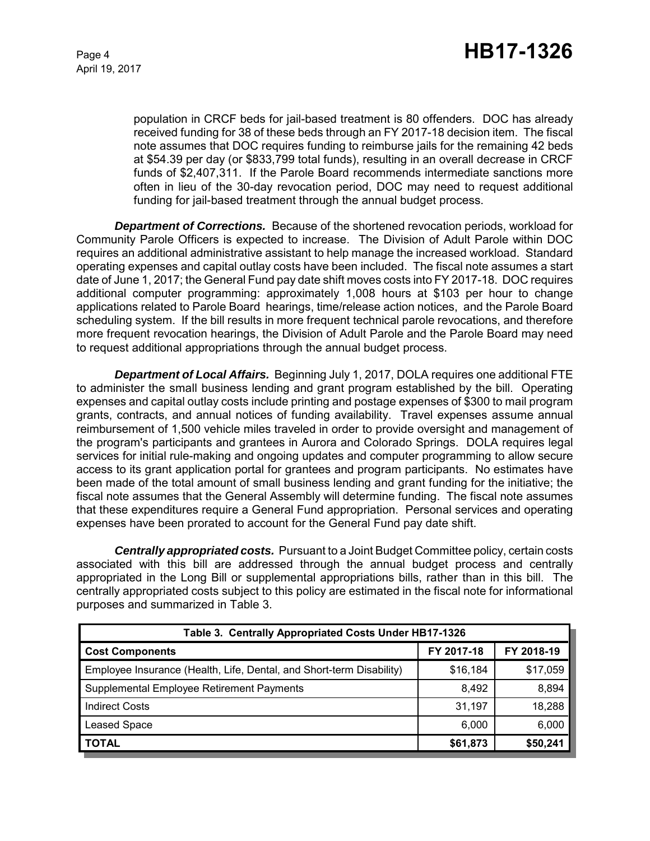population in CRCF beds for jail-based treatment is 80 offenders. DOC has already received funding for 38 of these beds through an FY 2017-18 decision item. The fiscal note assumes that DOC requires funding to reimburse jails for the remaining 42 beds at \$54.39 per day (or \$833,799 total funds), resulting in an overall decrease in CRCF funds of \$2,407,311. If the Parole Board recommends intermediate sanctions more often in lieu of the 30-day revocation period, DOC may need to request additional funding for jail-based treatment through the annual budget process.

*Department of Corrections.* Because of the shortened revocation periods, workload for Community Parole Officers is expected to increase. The Division of Adult Parole within DOC requires an additional administrative assistant to help manage the increased workload. Standard operating expenses and capital outlay costs have been included. The fiscal note assumes a start date of June 1, 2017; the General Fund pay date shift moves costs into FY 2017-18. DOC requires additional computer programming: approximately 1,008 hours at \$103 per hour to change applications related to Parole Board hearings, time/release action notices, and the Parole Board scheduling system. If the bill results in more frequent technical parole revocations, and therefore more frequent revocation hearings, the Division of Adult Parole and the Parole Board may need to request additional appropriations through the annual budget process.

*Department of Local Affairs.* Beginning July 1, 2017, DOLA requires one additional FTE to administer the small business lending and grant program established by the bill. Operating expenses and capital outlay costs include printing and postage expenses of \$300 to mail program grants, contracts, and annual notices of funding availability. Travel expenses assume annual reimbursement of 1,500 vehicle miles traveled in order to provide oversight and management of the program's participants and grantees in Aurora and Colorado Springs. DOLA requires legal services for initial rule-making and ongoing updates and computer programming to allow secure access to its grant application portal for grantees and program participants. No estimates have been made of the total amount of small business lending and grant funding for the initiative; the fiscal note assumes that the General Assembly will determine funding. The fiscal note assumes that these expenditures require a General Fund appropriation. Personal services and operating expenses have been prorated to account for the General Fund pay date shift.

*Centrally appropriated costs.* Pursuant to a Joint Budget Committee policy, certain costs associated with this bill are addressed through the annual budget process and centrally appropriated in the Long Bill or supplemental appropriations bills, rather than in this bill. The centrally appropriated costs subject to this policy are estimated in the fiscal note for informational purposes and summarized in Table 3.

| Table 3. Centrally Appropriated Costs Under HB17-1326                |            |            |  |  |  |  |
|----------------------------------------------------------------------|------------|------------|--|--|--|--|
| <b>Cost Components</b>                                               | FY 2017-18 | FY 2018-19 |  |  |  |  |
| Employee Insurance (Health, Life, Dental, and Short-term Disability) | \$16,184   | \$17,059   |  |  |  |  |
| Supplemental Employee Retirement Payments                            | 8.492      | 8,894      |  |  |  |  |
| <b>Indirect Costs</b>                                                | 31,197     | 18,288     |  |  |  |  |
| <b>Leased Space</b>                                                  | 6,000      | 6,000      |  |  |  |  |
| <b>TOTAL</b>                                                         | \$61,873   | \$50,241   |  |  |  |  |